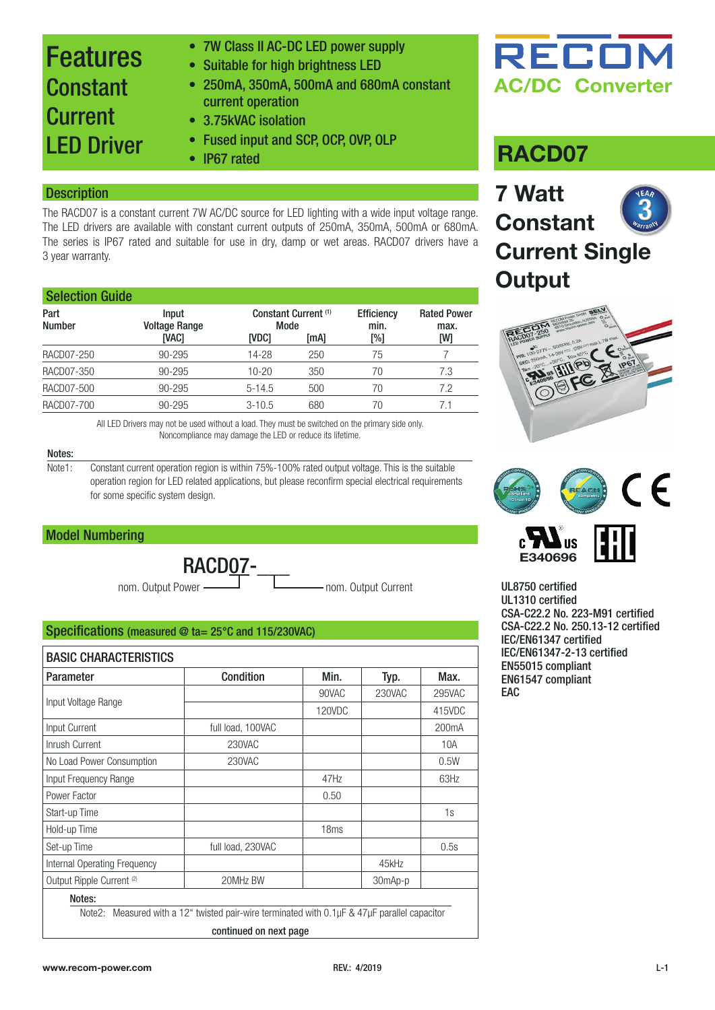### Features Constant **Current** LED Driver

- 7W Class II AC-DC LED power supply
- Suitable for high brightness LED
- 250mA, 350mA, 500mA and 680mA constant current operation
- 3.75kVAC isolation
- Fused input and SCP, OCP, OVP, OLP
- 

#### **Description**

The RACD07 is a constant current 7W AC/DC source for LED lighting with a wide input voltage range. The LED drivers are available with constant current outputs of 250mA, 350mA, 500mA or 680mA. The series is IP67 rated and suitable for use in dry, damp or wet areas. RACD07 drivers have a 3 year warranty.

| <b>Selection Guide</b> |                               |              |                                 |                           |                            |  |  |
|------------------------|-------------------------------|--------------|---------------------------------|---------------------------|----------------------------|--|--|
| Part<br><b>Number</b>  | Input<br><b>Voltage Range</b> | Mode         | Constant Current <sup>(1)</sup> | <b>Efficiency</b><br>min. | <b>Rated Power</b><br>max. |  |  |
|                        | <b>IVAC1</b>                  | <b>IVDC1</b> | [mA]                            | [%]                       | [W]                        |  |  |
| RACD07-250             | $90 - 295$                    | 14-28        | 250                             | 75                        |                            |  |  |
| RACD07-350             | $90 - 295$                    | $10 - 20$    | 350                             | 70                        | 7.3                        |  |  |
| RACD07-500             | $90 - 295$                    | $5 - 14.5$   | 500                             | 70                        | 7.2                        |  |  |
| RACD07-700             | $90 - 295$                    | $3 - 10.5$   | 680                             | 70                        | 7.1                        |  |  |

All LED Drivers may not be used without a load. They must be switched on the primary side only. Noncompliance may damage the LED or reduce its lifetime.

#### Notes:

Note1: Constant current operation region is within 75%-100% rated output voltage. This is the suitable operation region for LED related applications, but please reconfirm special electrical requirements for some specific system design.

#### Model Numbering

nom. Output Power RACD<sub>07</sub>-

nom. Output Current

#### Specifications (measured @ ta= 25°C and 115/230VAC)

| <b>Parameter</b>                     | <b>Condition</b>                                                                                         | Min.   | Typ.    | Max.               |  |
|--------------------------------------|----------------------------------------------------------------------------------------------------------|--------|---------|--------------------|--|
|                                      |                                                                                                          | 90VAC  | 230VAC  | 295VAC             |  |
| Input Voltage Range                  |                                                                                                          | 120VDC |         | 415VDC             |  |
| Input Current                        | full load, 100VAC                                                                                        |        |         | 200 <sub>m</sub> A |  |
| Inrush Current                       | 230VAC                                                                                                   |        |         | 10A                |  |
| No Load Power Consumption            | 230VAC                                                                                                   |        |         | 0.5W               |  |
| Input Frequency Range                |                                                                                                          | 47Hz   |         | 63Hz               |  |
| Power Factor                         |                                                                                                          | 0.50   |         |                    |  |
| Start-up Time                        |                                                                                                          |        |         | 1s                 |  |
| Hold-up Time                         |                                                                                                          | 18ms   |         |                    |  |
| Set-up Time                          | full load, 230VAC                                                                                        |        |         | 0.5s               |  |
| Internal Operating Frequency         |                                                                                                          |        | 45kHz   |                    |  |
| Output Ripple Current <sup>(2)</sup> | 20MHz BW                                                                                                 |        | 30mAp-p |                    |  |
| Notes:                               | Note2: Measured with a 12" twisted pair-wire terminated with $0.1 \mu$ F & $47 \mu$ F parallel capacitor |        |         |                    |  |

continued on next page

## RECOM **AC/DC Converter**

### • **IP67** rated **RACD07**

### **7 Watt Constant Current Single Output**





UL8750 certified UL1310 certified CSA-C22.2 No. 223-M91 certified CSA-C22.2 No. 250.13-12 certified IEC/EN61347 certified IEC/EN61347-2-13 certified EN55015 compliant EN61547 compliant EAC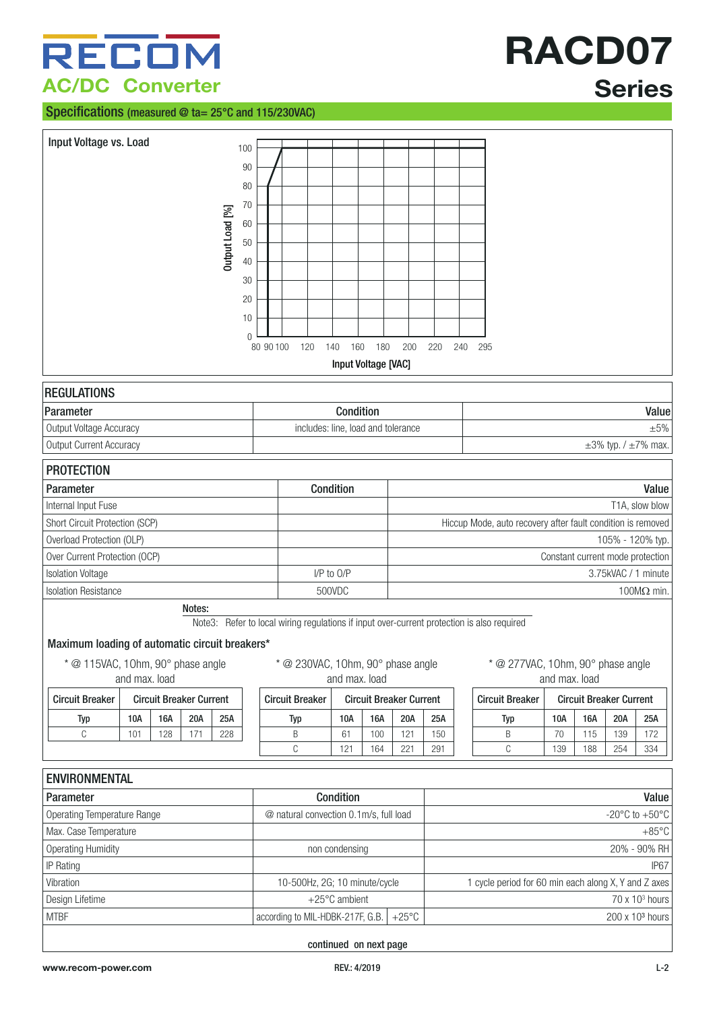## RECOM **AC/DC Converter**

#### Specifications (measured @ ta= 25°C and 115/230VAC)

# **RACD07 Series**

| Input Voltage vs. Load<br>Output Load [%]                                                                      | 100<br>90<br>80<br>70<br>60<br>50<br>40<br>30<br>20<br>10<br>$\Omega$<br>80 90 100 | 120                                                                                                                             | 160<br>140<br>Input Voltage [VAC] | 180 | 200                            | 220 | 240                                                  | 295                                                                            |               |                                |     |                 |
|----------------------------------------------------------------------------------------------------------------|------------------------------------------------------------------------------------|---------------------------------------------------------------------------------------------------------------------------------|-----------------------------------|-----|--------------------------------|-----|------------------------------------------------------|--------------------------------------------------------------------------------|---------------|--------------------------------|-----|-----------------|
| <b>REGULATIONS</b>                                                                                             |                                                                                    |                                                                                                                                 |                                   |     |                                |     |                                                      |                                                                                |               |                                |     |                 |
| Parameter                                                                                                      |                                                                                    |                                                                                                                                 | Condition                         |     |                                |     |                                                      |                                                                                |               |                                |     | Value           |
| Output Voltage Accuracy                                                                                        |                                                                                    | includes: line, load and tolerance                                                                                              |                                   |     |                                |     |                                                      |                                                                                |               |                                |     | $\pm 5\%$       |
| Output Current Accuracy                                                                                        |                                                                                    |                                                                                                                                 |                                   |     |                                |     |                                                      | $\pm 3\%$ typ. / $\pm 7\%$ max.                                                |               |                                |     |                 |
| <b>PROTECTION</b>                                                                                              |                                                                                    |                                                                                                                                 |                                   |     |                                |     |                                                      |                                                                                |               |                                |     |                 |
| Parameter                                                                                                      |                                                                                    |                                                                                                                                 | Condition                         |     |                                |     |                                                      | Value                                                                          |               |                                |     |                 |
| Internal Input Fuse                                                                                            |                                                                                    |                                                                                                                                 |                                   |     |                                |     |                                                      |                                                                                |               |                                |     | T1A, slow blow  |
| Short Circuit Protection (SCP)                                                                                 |                                                                                    |                                                                                                                                 |                                   |     |                                |     |                                                      | Hiccup Mode, auto recovery after fault condition is removed                    |               |                                |     |                 |
| Overload Protection (OLP)                                                                                      |                                                                                    |                                                                                                                                 |                                   |     |                                |     |                                                      | 105% - 120% typ.                                                               |               |                                |     |                 |
| Over Current Protection (OCP)                                                                                  |                                                                                    |                                                                                                                                 |                                   |     |                                |     |                                                      | Constant current mode protection                                               |               |                                |     |                 |
| <b>Isolation Voltage</b>                                                                                       |                                                                                    |                                                                                                                                 | I/P to O/P                        |     |                                |     |                                                      | 3.75kVAC / 1 minute                                                            |               |                                |     |                 |
| <b>Isolation Resistance</b>                                                                                    |                                                                                    |                                                                                                                                 | 500VDC                            |     |                                |     |                                                      | 100 $M\Omega$ min.                                                             |               |                                |     |                 |
| Notes:<br>Maximum loading of automatic circuit breakers*<br>* @ 115VAC, 10hm, 90° phase angle<br>and max. load |                                                                                    | Note3: Refer to local wiring regulations if input over-current protection is also required<br>* @ 230VAC, 10hm, 90° phase angle | and max. load                     |     |                                |     |                                                      | * @ 277VAC, 10hm, 90° phase angle                                              | and max. load |                                |     |                 |
| <b>Circuit Breaker Current</b><br><b>Circuit Breaker</b>                                                       |                                                                                    | <b>Circuit Breaker</b>                                                                                                          |                                   |     | <b>Circuit Breaker Current</b> |     |                                                      | <b>Circuit Breaker</b>                                                         |               | <b>Circuit Breaker Current</b> |     |                 |
| 20A<br>10A<br>16A<br>25A<br><b>Typ</b>                                                                         |                                                                                    | <b>Typ</b>                                                                                                                      | 10A                               | 16A | 20A                            | 25A |                                                      | Typ                                                                            | 10A           | <b>16A</b>                     | 20A | 25A             |
| $\mathbb C$<br>101<br>128<br>171<br>228                                                                        |                                                                                    | Β                                                                                                                               | 61                                | 100 | 121                            | 150 |                                                      | B                                                                              | 70            | 115                            | 139 | 172             |
|                                                                                                                |                                                                                    | C                                                                                                                               | 121                               | 164 | 221                            | 291 |                                                      | C                                                                              | 139           | 188                            | 254 | 334             |
| <b>ENVIRONMENTAL</b>                                                                                           |                                                                                    |                                                                                                                                 |                                   |     |                                |     |                                                      |                                                                                |               |                                |     |                 |
| Parameter                                                                                                      |                                                                                    |                                                                                                                                 | Condition                         |     |                                |     |                                                      |                                                                                |               |                                |     | Value           |
| <b>Operating Temperature Range</b>                                                                             |                                                                                    | @ natural convection 0.1m/s, full load                                                                                          |                                   |     |                                |     | -20 $\mathrm{^{\circ}C}$ to +50 $\mathrm{^{\circ}C}$ |                                                                                |               |                                |     |                 |
| Max. Case Temperature                                                                                          |                                                                                    |                                                                                                                                 |                                   |     |                                |     |                                                      |                                                                                |               |                                |     | $+85^{\circ}$ C |
| <b>Operating Humidity</b>                                                                                      |                                                                                    |                                                                                                                                 | non condensing                    |     |                                |     |                                                      |                                                                                |               |                                |     | 20% - 90% RH    |
| IP Rating                                                                                                      |                                                                                    |                                                                                                                                 |                                   |     |                                |     |                                                      |                                                                                |               |                                |     | <b>IP67</b>     |
| Vibration                                                                                                      |                                                                                    | 10-500Hz, 2G; 10 minute/cycle                                                                                                   |                                   |     |                                |     |                                                      |                                                                                |               |                                |     |                 |
| Design Lifetime                                                                                                |                                                                                    |                                                                                                                                 | +25°C ambient                     |     |                                |     |                                                      | 1 cycle period for 60 min each along X, Y and Z axes<br>$70 \times 10^3$ hours |               |                                |     |                 |
| <b>MTBF</b>                                                                                                    |                                                                                    | according to MIL-HDBK-217F, G.B.                                                                                                |                                   |     | $+25^{\circ}$ C                |     |                                                      | 200 x 10 <sup>3</sup> hours                                                    |               |                                |     |                 |
|                                                                                                                |                                                                                    |                                                                                                                                 |                                   |     |                                |     |                                                      |                                                                                |               |                                |     |                 |

continued on next page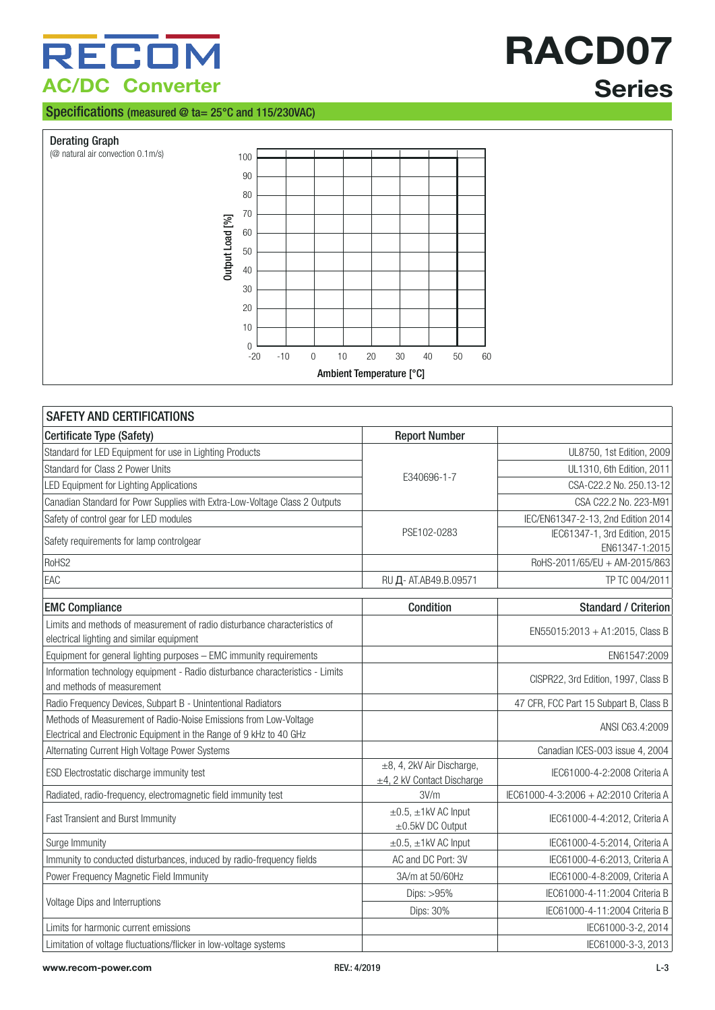## RECOM **AC/DC Converter**

#### Specifications (measured @ ta= 25°C and 115/230VAC)

# **RACD07 Series**





| <b>SAFETY AND CERTIFICATIONS</b>                                                                                       |                                                              |                                                 |  |  |  |  |  |
|------------------------------------------------------------------------------------------------------------------------|--------------------------------------------------------------|-------------------------------------------------|--|--|--|--|--|
| Certificate Type (Safety)                                                                                              | <b>Report Number</b>                                         |                                                 |  |  |  |  |  |
| Standard for LED Equipment for use in Lighting Products                                                                |                                                              | UL8750, 1st Edition, 2009                       |  |  |  |  |  |
| Standard for Class 2 Power Units                                                                                       | E340696-1-7                                                  | UL1310, 6th Edition, 2011                       |  |  |  |  |  |
| LED Equipment for Lighting Applications                                                                                |                                                              | CSA-C22.2 No. 250.13-12                         |  |  |  |  |  |
| Canadian Standard for Powr Supplies with Extra-Low-Voltage Class 2 Outputs                                             |                                                              | CSA C22.2 No. 223-M91                           |  |  |  |  |  |
| Safety of control gear for LED modules                                                                                 |                                                              | IEC/EN61347-2-13, 2nd Edition 2014              |  |  |  |  |  |
| Safety requirements for lamp controlgear                                                                               | PSE102-0283                                                  | IEC61347-1, 3rd Edition, 2015<br>EN61347-1:2015 |  |  |  |  |  |
| RoHS2                                                                                                                  |                                                              | RoHS-2011/65/EU + AM-2015/863                   |  |  |  |  |  |
| EAC                                                                                                                    | RU Д- AT.AB49.B.09571                                        | TP TC 004/2011                                  |  |  |  |  |  |
| <b>EMC Compliance</b>                                                                                                  | Condition                                                    | <b>Standard / Criterion</b>                     |  |  |  |  |  |
| Limits and methods of measurement of radio disturbance characteristics of<br>electrical lighting and similar equipment |                                                              | EN55015:2013 + A1:2015, Class B                 |  |  |  |  |  |
| Equipment for general lighting purposes - EMC immunity requirements                                                    |                                                              | EN61547:2009                                    |  |  |  |  |  |
| Information technology equipment - Radio disturbance characteristics - Limits<br>and methods of measurement            |                                                              | CISPR22, 3rd Edition, 1997, Class B             |  |  |  |  |  |
| Radio Frequency Devices, Subpart B - Unintentional Radiators                                                           |                                                              | 47 CFR, FCC Part 15 Subpart B, Class B          |  |  |  |  |  |
| Methods of Measurement of Radio-Noise Emissions from Low-Voltage                                                       |                                                              | ANSI C63.4:2009                                 |  |  |  |  |  |
| Electrical and Electronic Equipment in the Range of 9 kHz to 40 GHz                                                    |                                                              |                                                 |  |  |  |  |  |
| Alternating Current High Voltage Power Systems                                                                         |                                                              | Canadian ICES-003 issue 4, 2004                 |  |  |  |  |  |
| ESD Electrostatic discharge immunity test                                                                              | ±8, 4, 2kV Air Discharge,<br>$\pm$ 4, 2 kV Contact Discharge | IEC61000-4-2:2008 Criteria A                    |  |  |  |  |  |
| Radiated, radio-frequency, electromagnetic field immunity test                                                         | 3V/m                                                         | IEC61000-4-3:2006 + A2:2010 Criteria A          |  |  |  |  |  |
| Fast Transient and Burst Immunity                                                                                      | $\pm 0.5$ , $\pm 1$ kV AC Input<br>±0.5kV DC Output          | IEC61000-4-4:2012, Criteria A                   |  |  |  |  |  |
| Surge Immunity                                                                                                         | $\pm 0.5$ , $\pm 1$ kV AC Input                              | IEC61000-4-5:2014, Criteria A                   |  |  |  |  |  |
| Immunity to conducted disturbances, induced by radio-frequency fields                                                  | AC and DC Port: 3V                                           | IEC61000-4-6:2013, Criteria A                   |  |  |  |  |  |
| Power Frequency Magnetic Field Immunity                                                                                | 3A/m at 50/60Hz                                              | IEC61000-4-8:2009, Criteria A                   |  |  |  |  |  |
|                                                                                                                        | Dips: $>95%$                                                 | IEC61000-4-11:2004 Criteria B                   |  |  |  |  |  |
| Voltage Dips and Interruptions                                                                                         | Dips: 30%                                                    | IEC61000-4-11:2004 Criteria B                   |  |  |  |  |  |
| Limits for harmonic current emissions                                                                                  |                                                              | IEC61000-3-2, 2014                              |  |  |  |  |  |
| Limitation of voltage fluctuations/flicker in low-voltage systems                                                      |                                                              | IEC61000-3-3, 2013                              |  |  |  |  |  |